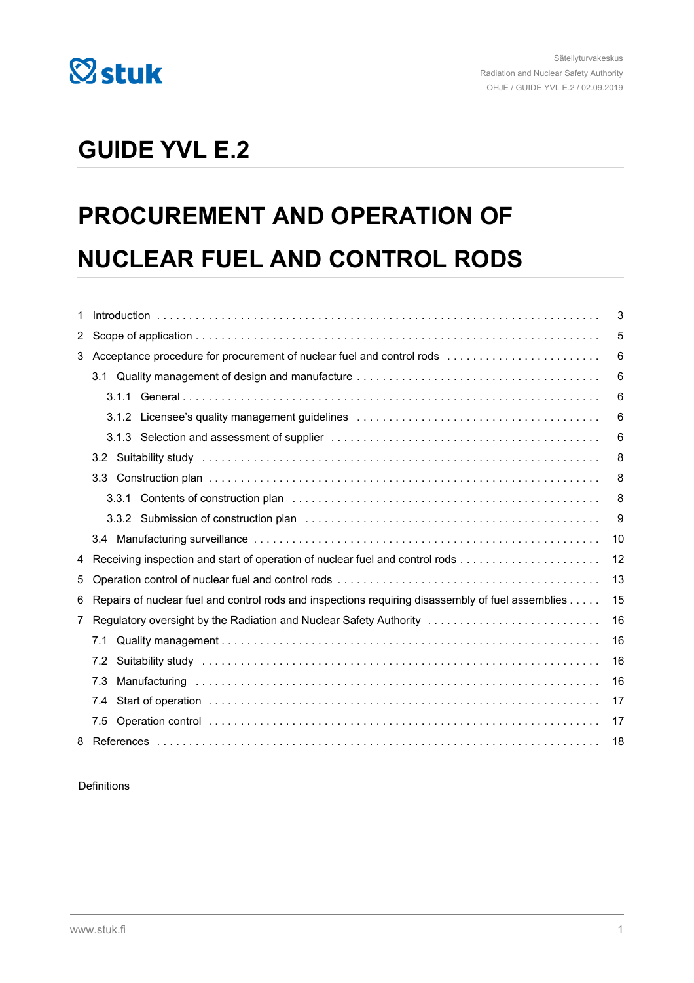

## **GUIDE YVL E.2**

# **PROCUREMENT AND OPERATION OF NUCLEAR FUEL AND CONTROL RODS**

| 1            |                                                                                                                       | 3  |
|--------------|-----------------------------------------------------------------------------------------------------------------------|----|
| $\mathbf{2}$ |                                                                                                                       | 5  |
| 3            | Acceptance procedure for procurement of nuclear fuel and control rods                                                 | 6  |
|              |                                                                                                                       | 6  |
|              |                                                                                                                       | 6  |
|              | 3.1.2 Licensee's quality management guidelines enter-containment contained and successive contained and the st        | 6  |
|              |                                                                                                                       | 6  |
|              | 3.2                                                                                                                   | 8  |
|              | 3.3 <sub>1</sub>                                                                                                      | 8  |
|              |                                                                                                                       | 8  |
|              |                                                                                                                       | 9  |
|              |                                                                                                                       | 10 |
| 4            |                                                                                                                       | 12 |
| 5            |                                                                                                                       | 13 |
| 6            | Repairs of nuclear fuel and control rods and inspections requiring disassembly of fuel assemblies                     | 15 |
| 7            | Regulatory oversight by the Radiation and Nuclear Safety Authority                                                    | 16 |
|              | 7.1                                                                                                                   | 16 |
|              | Suitability study recommendation of the control of the control of the control of the control of the control of<br>7.2 | 16 |
|              | 7.3                                                                                                                   | 16 |
|              | 7.4                                                                                                                   | 17 |
|              | 7.5                                                                                                                   | 17 |
|              |                                                                                                                       | 18 |

#### Definitions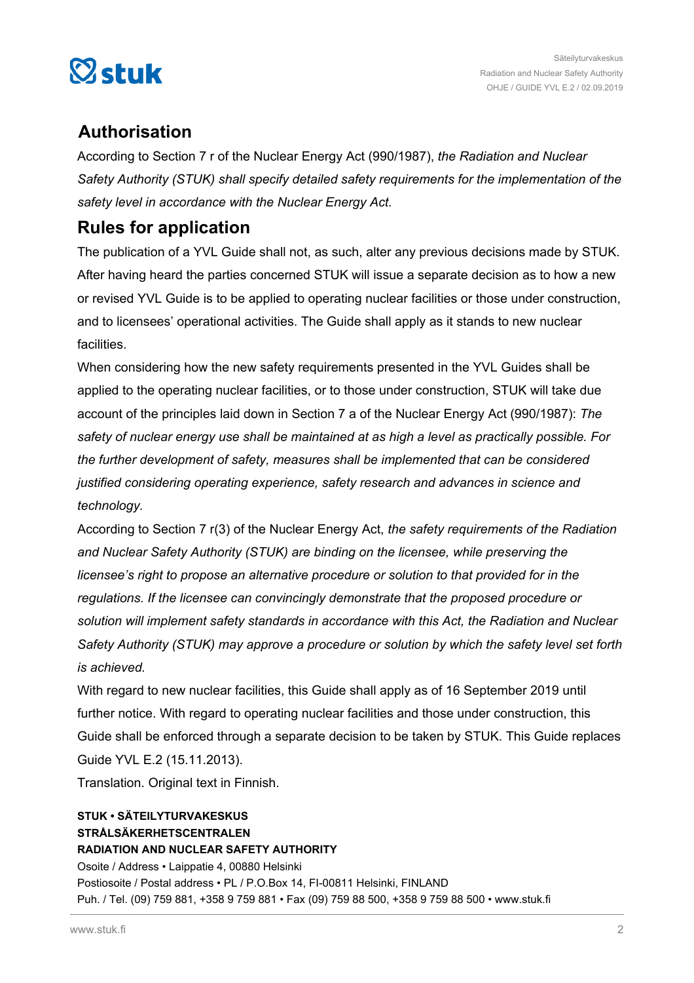

### **Authorisation**

According to Section 7 r of the Nuclear Energy Act (990/1987), *the Radiation and Nuclear Safety Authority (STUK) shall specify detailed safety requirements for the implementation of the safety level in accordance with the Nuclear Energy Act.*

### **Rules for application**

The publication of a YVL Guide shall not, as such, alter any previous decisions made by STUK. After having heard the parties concerned STUK will issue a separate decision as to how a new or revised YVL Guide is to be applied to operating nuclear facilities or those under construction, and to licensees' operational activities. The Guide shall apply as it stands to new nuclear facilities.

When considering how the new safety requirements presented in the YVL Guides shall be applied to the operating nuclear facilities, or to those under construction, STUK will take due account of the principles laid down in Section 7 a of the Nuclear Energy Act (990/1987): *The safety of nuclear energy use shall be maintained at as high a level as practically possible. For the further development of safety, measures shall be implemented that can be considered justified considering operating experience, safety research and advances in science and technology.*

According to Section 7 r(3) of the Nuclear Energy Act, *the safety requirements of the Radiation and Nuclear Safety Authority (STUK) are binding on the licensee, while preserving the licensee's right to propose an alternative procedure or solution to that provided for in the regulations. If the licensee can convincingly demonstrate that the proposed procedure or solution will implement safety standards in accordance with this Act, the Radiation and Nuclear Safety Authority (STUK) may approve a procedure or solution by which the safety level set forth is achieved.*

With regard to new nuclear facilities, this Guide shall apply as of 16 September 2019 until further notice. With regard to operating nuclear facilities and those under construction, this Guide shall be enforced through a separate decision to be taken by STUK. This Guide replaces Guide YVL E.2 (15.11.2013).

Translation. Original text in Finnish.

### **STUK • SÄTEILYTURVAKESKUS STRÅLSÄKERHETSCENTRALEN RADIATION AND NUCLEAR SAFETY AUTHORITY**

Osoite / Address • Laippatie 4, 00880 Helsinki Postiosoite / Postal address • PL / P.O.Box 14, FI-00811 Helsinki, FINLAND Puh. / Tel. (09) 759 881, +358 9 759 881 • Fax (09) 759 88 500, +358 9 759 88 500 • www.stuk.fi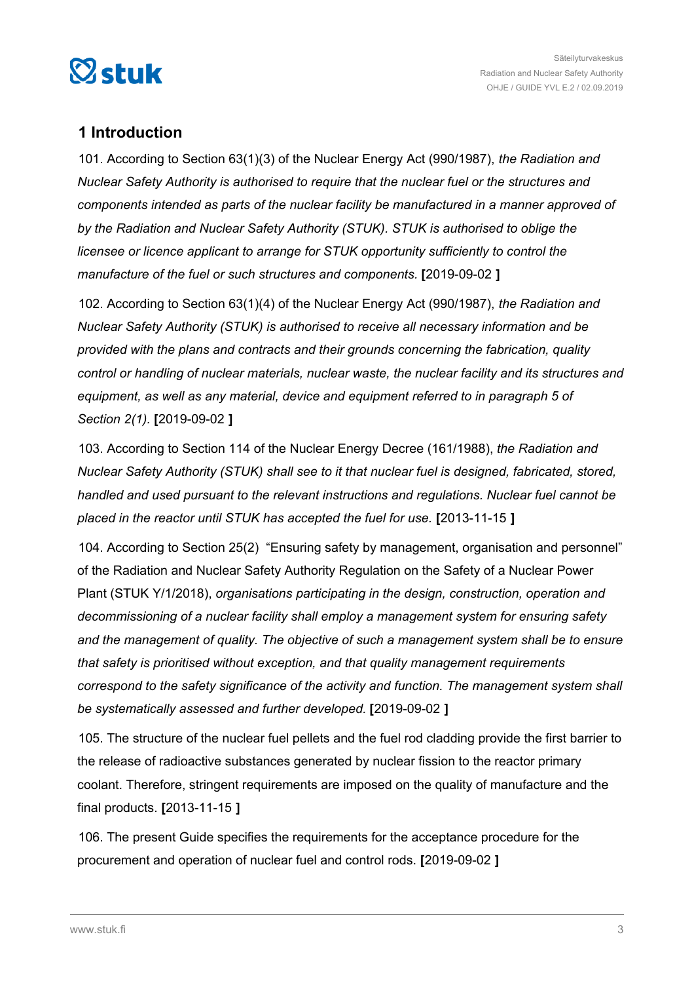<span id="page-2-0"></span>

### **1 Introduction**

101. According to Section 63(1)(3) of the Nuclear Energy Act (990/1987), *the Radiation and Nuclear Safety Authority is authorised to require that the nuclear fuel or the structures and components intended as parts of the nuclear facility be manufactured in a manner approved of by the Radiation and Nuclear Safety Authority (STUK). STUK is authorised to oblige the licensee or licence applicant to arrange for STUK opportunity sufficiently to control the manufacture of the fuel or such structures and components.* **[**2019-09-02 **]**

102. According to Section 63(1)(4) of the Nuclear Energy Act (990/1987), *the Radiation and Nuclear Safety Authority (STUK) is authorised to receive all necessary information and be provided with the plans and contracts and their grounds concerning the fabrication, quality control or handling of nuclear materials, nuclear waste, the nuclear facility and its structures and equipment, as well as any material, device and equipment referred to in paragraph 5 of Section 2(1).* **[**2019-09-02 **]**

103. According to Section 114 of the Nuclear Energy Decree (161/1988), *the Radiation and Nuclear Safety Authority (STUK) shall see to it that nuclear fuel is designed, fabricated, stored, handled and used pursuant to the relevant instructions and regulations. Nuclear fuel cannot be placed in the reactor until STUK has accepted the fuel for use.* **[**2013-11-15 **]**

104. According to Section 25(2) "Ensuring safety by management, organisation and personnel" of the Radiation and Nuclear Safety Authority Regulation on the Safety of a Nuclear Power Plant (STUK Y/1/2018), *organisations participating in the design, construction, operation and decommissioning of a nuclear facility shall employ a management system for ensuring safety and the management of quality. The objective of such a management system shall be to ensure that safety is prioritised without exception, and that quality management requirements correspond to the safety significance of the activity and function. The management system shall be systematically assessed and further developed.* **[**2019-09-02 **]**

105. The structure of the nuclear fuel pellets and the fuel rod cladding provide the first barrier to the release of radioactive substances generated by nuclear fission to the reactor primary coolant. Therefore, stringent requirements are imposed on the quality of manufacture and the final products. **[**2013-11-15 **]**

106. The present Guide specifies the requirements for the acceptance procedure for the procurement and operation of nuclear fuel and control rods. **[**2019-09-02 **]**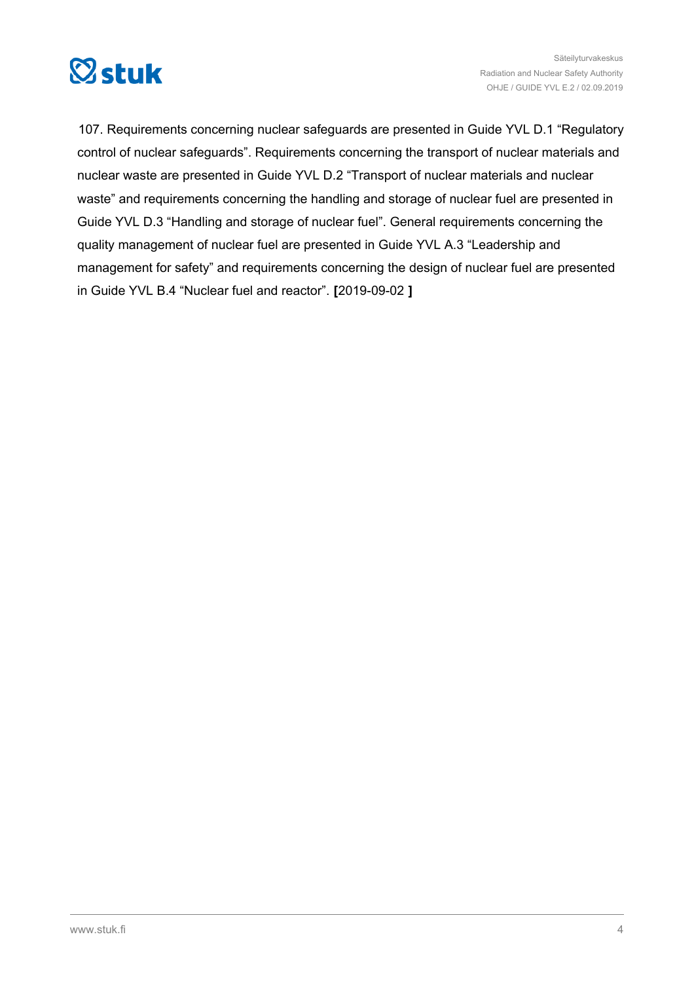

107. Requirements concerning nuclear safeguards are presented in Guide YVL D.1 "Regulatory control of nuclear safeguards". Requirements concerning the transport of nuclear materials and nuclear waste are presented in Guide YVL D.2 "Transport of nuclear materials and nuclear waste" and requirements concerning the handling and storage of nuclear fuel are presented in Guide YVL D.3 "Handling and storage of nuclear fuel". General requirements concerning the quality management of nuclear fuel are presented in Guide YVL A.3 "Leadership and management for safety" and requirements concerning the design of nuclear fuel are presented in Guide YVL B.4 "Nuclear fuel and reactor". **[**2019-09-02 **]**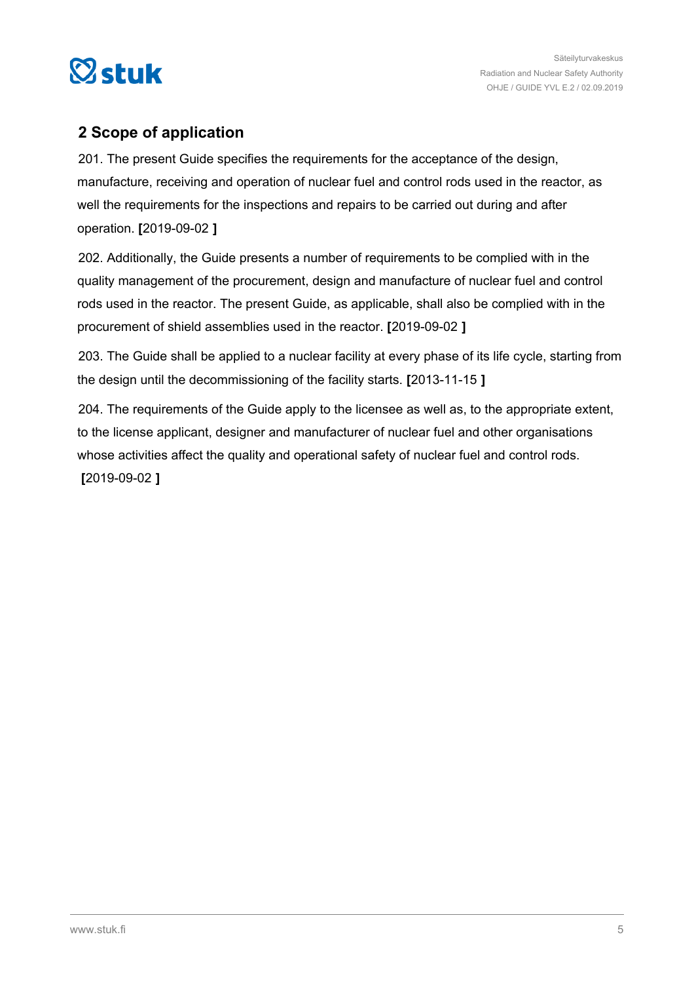<span id="page-4-0"></span>

### **2 Scope of application**

201. The present Guide specifies the requirements for the acceptance of the design, manufacture, receiving and operation of nuclear fuel and control rods used in the reactor, as well the requirements for the inspections and repairs to be carried out during and after operation. **[**2019-09-02 **]**

202. Additionally, the Guide presents a number of requirements to be complied with in the quality management of the procurement, design and manufacture of nuclear fuel and control rods used in the reactor. The present Guide, as applicable, shall also be complied with in the procurement of shield assemblies used in the reactor. **[**2019-09-02 **]**

203. The Guide shall be applied to a nuclear facility at every phase of its life cycle, starting from the design until the decommissioning of the facility starts. **[**2013-11-15 **]**

204. The requirements of the Guide apply to the licensee as well as, to the appropriate extent, to the license applicant, designer and manufacturer of nuclear fuel and other organisations whose activities affect the quality and operational safety of nuclear fuel and control rods.

**[**2019-09-02 **]**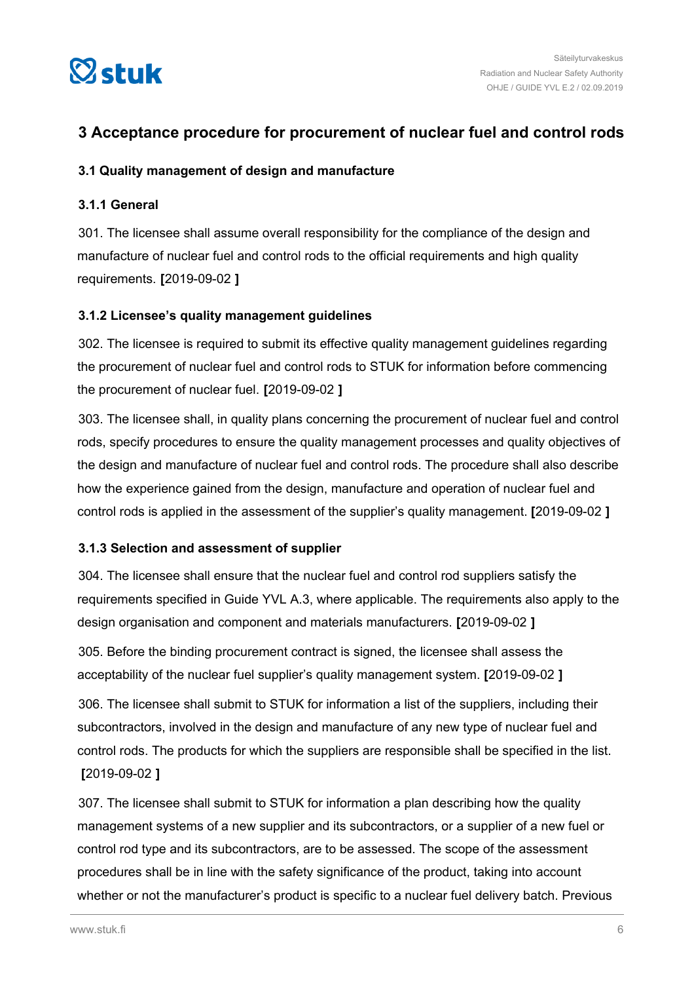<span id="page-5-0"></span>

### **3 Acceptance procedure for procurement of nuclear fuel and control rods**

#### **3.1 Quality management of design and manufacture**

#### **3.1.1 General**

301. The licensee shall assume overall responsibility for the compliance of the design and manufacture of nuclear fuel and control rods to the official requirements and high quality requirements. **[**2019-09-02 **]**

#### **3.1.2 Licensee's quality management guidelines**

302. The licensee is required to submit its effective quality management guidelines regarding the procurement of nuclear fuel and control rods to STUK for information before commencing the procurement of nuclear fuel. **[**2019-09-02 **]**

303. The licensee shall, in quality plans concerning the procurement of nuclear fuel and control rods, specify procedures to ensure the quality management processes and quality objectives of the design and manufacture of nuclear fuel and control rods. The procedure shall also describe how the experience gained from the design, manufacture and operation of nuclear fuel and control rods is applied in the assessment of the supplier's quality management. **[**2019-09-02 **]**

#### **3.1.3 Selection and assessment of supplier**

304. The licensee shall ensure that the nuclear fuel and control rod suppliers satisfy the requirements specified in Guide YVL A.3, where applicable. The requirements also apply to the design organisation and component and materials manufacturers. **[**2019-09-02 **]**

305. Before the binding procurement contract is signed, the licensee shall assess the acceptability of the nuclear fuel supplier's quality management system. **[**2019-09-02 **]**

306. The licensee shall submit to STUK for information a list of the suppliers, including their subcontractors, involved in the design and manufacture of any new type of nuclear fuel and control rods. The products for which the suppliers are responsible shall be specified in the list. **[**2019-09-02 **]**

307. The licensee shall submit to STUK for information a plan describing how the quality management systems of a new supplier and its subcontractors, or a supplier of a new fuel or control rod type and its subcontractors, are to be assessed. The scope of the assessment procedures shall be in line with the safety significance of the product, taking into account whether or not the manufacturer's product is specific to a nuclear fuel delivery batch. Previous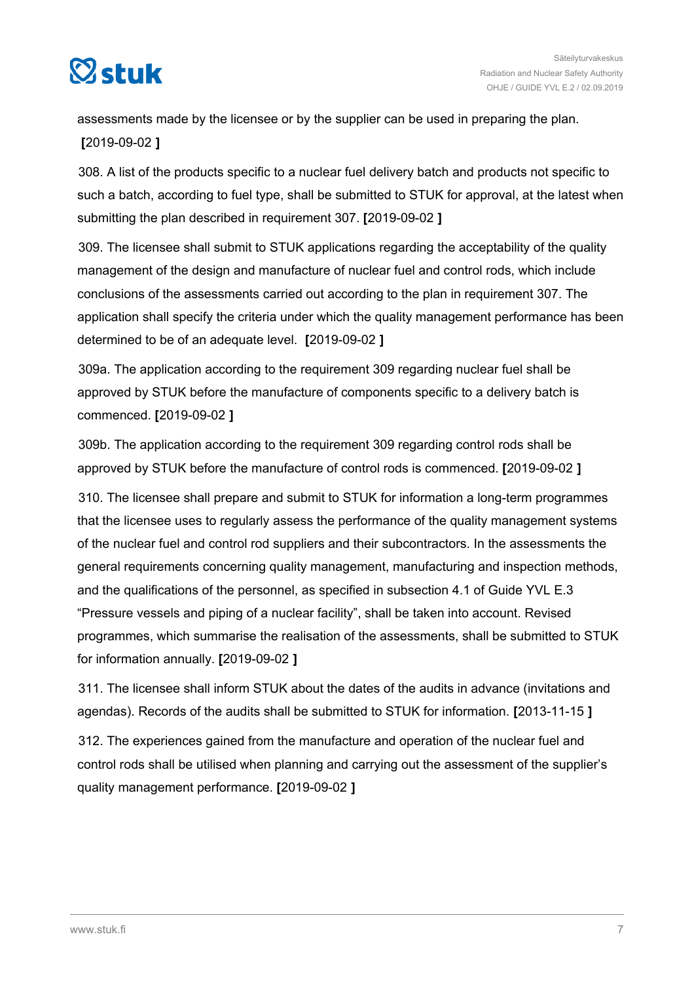

assessments made by the licensee or by the supplier can be used in preparing the plan. **[**2019-09-02 **]**

308. A list of the products specific to a nuclear fuel delivery batch and products not specific to such a batch, according to fuel type, shall be submitted to STUK for approval, at the latest when submitting the plan described in requirement 307. **[**2019-09-02 **]**

309. The licensee shall submit to STUK applications regarding the acceptability of the quality management of the design and manufacture of nuclear fuel and control rods, which include conclusions of the assessments carried out according to the plan in requirement 307. The application shall specify the criteria under which the quality management performance has been determined to be of an adequate level. **[**2019-09-02 **]**

309a. The application according to the requirement 309 regarding nuclear fuel shall be approved by STUK before the manufacture of components specific to a delivery batch is commenced. **[**2019-09-02 **]**

309b. The application according to the requirement 309 regarding control rods shall be approved by STUK before the manufacture of control rods is commenced. **[**2019-09-02 **]**

310. The licensee shall prepare and submit to STUK for information a long-term programmes that the licensee uses to regularly assess the performance of the quality management systems of the nuclear fuel and control rod suppliers and their subcontractors. In the assessments the general requirements concerning quality management, manufacturing and inspection methods, and the qualifications of the personnel, as specified in subsection 4.1 of Guide YVL E.3 "Pressure vessels and piping of a nuclear facility", shall be taken into account. Revised programmes, which summarise the realisation of the assessments, shall be submitted to STUK for information annually. **[**2019-09-02 **]**

311. The licensee shall inform STUK about the dates of the audits in advance (invitations and agendas). Records of the audits shall be submitted to STUK for information. **[**2013-11-15 **]**

312. The experiences gained from the manufacture and operation of the nuclear fuel and control rods shall be utilised when planning and carrying out the assessment of the supplier's quality management performance. **[**2019-09-02 **]**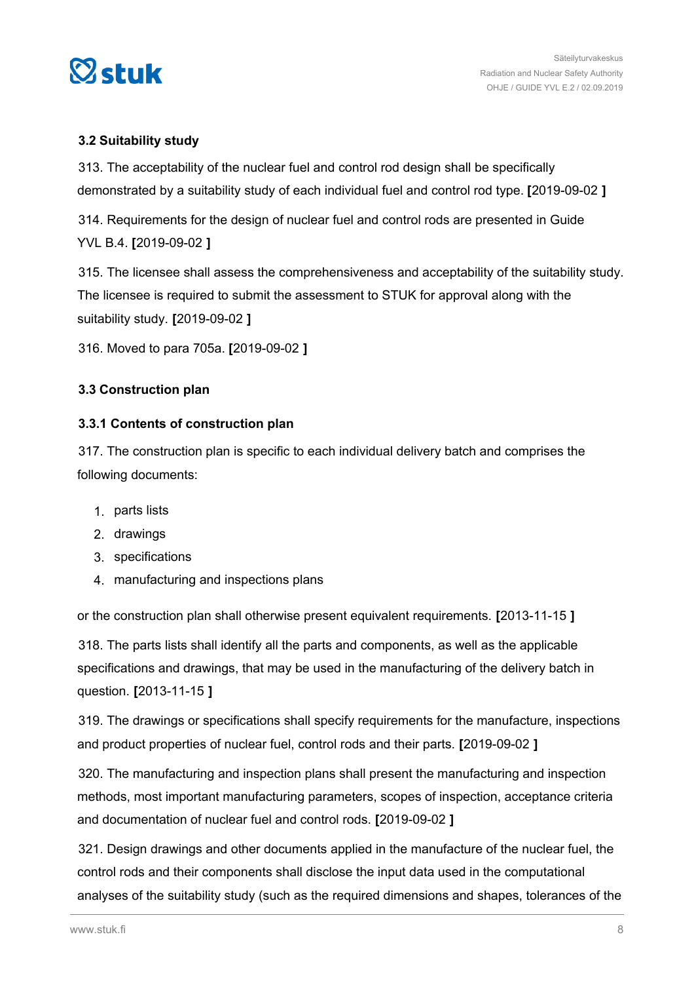<span id="page-7-0"></span>

### **3.2 Suitability study**

313. The acceptability of the nuclear fuel and control rod design shall be specifically demonstrated by a suitability study of each individual fuel and control rod type. **[**2019-09-02 **]**

314. Requirements for the design of nuclear fuel and control rods are presented in Guide YVL B.4. **[**2019-09-02 **]**

315. The licensee shall assess the comprehensiveness and acceptability of the suitability study. The licensee is required to submit the assessment to STUK for approval along with the suitability study. **[**2019-09-02 **]**

316. Moved to para 705a. **[**2019-09-02 **]**

### **3.3 Construction plan**

### **3.3.1 Contents of construction plan**

317. The construction plan is specific to each individual delivery batch and comprises the following documents:

- 1. parts lists
- 2. drawings
- 3. specifications
- 4. manufacturing and inspections plans

or the construction plan shall otherwise present equivalent requirements. **[**2013-11-15 **]**

318. The parts lists shall identify all the parts and components, as well as the applicable specifications and drawings, that may be used in the manufacturing of the delivery batch in question. **[**2013-11-15 **]**

319. The drawings or specifications shall specify requirements for the manufacture, inspections and product properties of nuclear fuel, control rods and their parts. **[**2019-09-02 **]**

320. The manufacturing and inspection plans shall present the manufacturing and inspection methods, most important manufacturing parameters, scopes of inspection, acceptance criteria and documentation of nuclear fuel and control rods. **[**2019-09-02 **]**

321. Design drawings and other documents applied in the manufacture of the nuclear fuel, the control rods and their components shall disclose the input data used in the computational analyses of the suitability study (such as the required dimensions and shapes, tolerances of the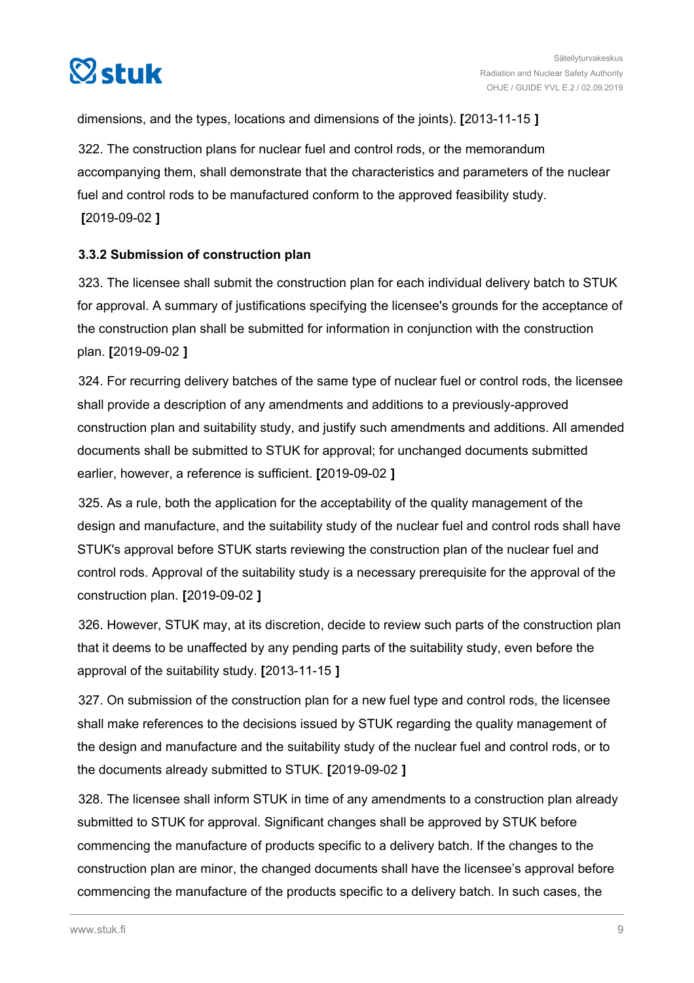<span id="page-8-0"></span>

dimensions, and the types, locations and dimensions of the joints). **[**2013-11-15 **]**

322. The construction plans for nuclear fuel and control rods, or the memorandum accompanying them, shall demonstrate that the characteristics and parameters of the nuclear fuel and control rods to be manufactured conform to the approved feasibility study. **[**2019-09-02 **]**

### **3.3.2 Submission of construction plan**

323. The licensee shall submit the construction plan for each individual delivery batch to STUK for approval. A summary of justifications specifying the licensee's grounds for the acceptance of the construction plan shall be submitted for information in conjunction with the construction plan. **[**2019-09-02 **]**

324. For recurring delivery batches of the same type of nuclear fuel or control rods, the licensee shall provide a description of any amendments and additions to a previously-approved construction plan and suitability study, and justify such amendments and additions. All amended documents shall be submitted to STUK for approval; for unchanged documents submitted earlier, however, a reference is sufficient. **[**2019-09-02 **]**

325. As a rule, both the application for the acceptability of the quality management of the design and manufacture, and the suitability study of the nuclear fuel and control rods shall have STUK's approval before STUK starts reviewing the construction plan of the nuclear fuel and control rods. Approval of the suitability study is a necessary prerequisite for the approval of the construction plan. **[**2019-09-02 **]**

326. However, STUK may, at its discretion, decide to review such parts of the construction plan that it deems to be unaffected by any pending parts of the suitability study, even before the approval of the suitability study. **[**2013-11-15 **]**

327. On submission of the construction plan for a new fuel type and control rods, the licensee shall make references to the decisions issued by STUK regarding the quality management of the design and manufacture and the suitability study of the nuclear fuel and control rods, or to the documents already submitted to STUK. **[**2019-09-02 **]**

328. The licensee shall inform STUK in time of any amendments to a construction plan already submitted to STUK for approval. Significant changes shall be approved by STUK before commencing the manufacture of products specific to a delivery batch. If the changes to the construction plan are minor, the changed documents shall have the licensee's approval before commencing the manufacture of the products specific to a delivery batch. In such cases, the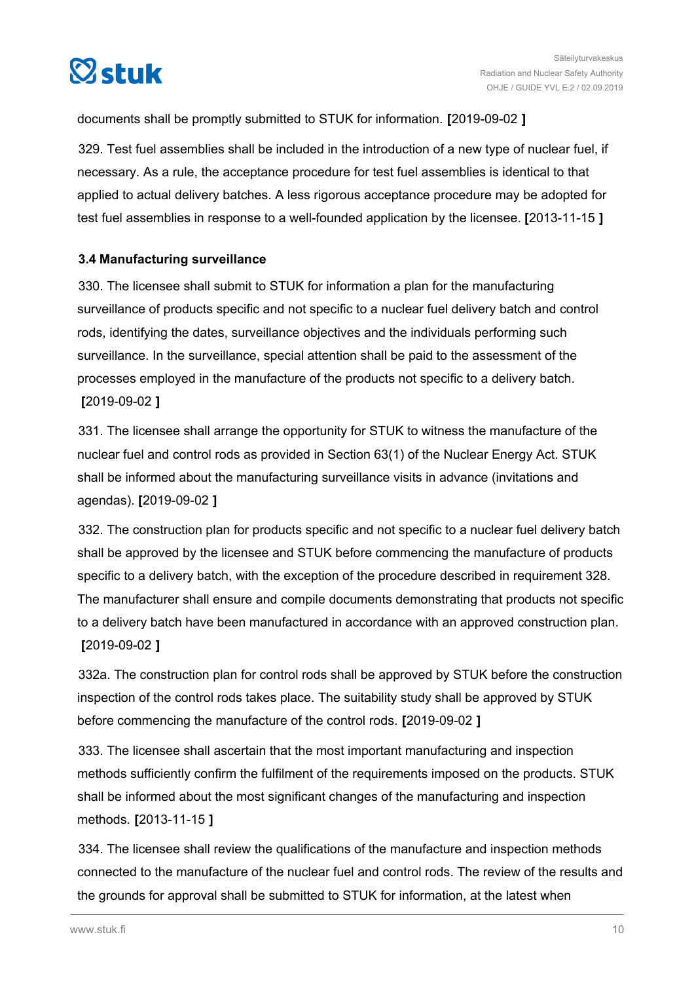<span id="page-9-0"></span>

documents shall be promptly submitted to STUK for information. **[**2019-09-02 **]**

329. Test fuel assemblies shall be included in the introduction of a new type of nuclear fuel, if necessary. As a rule, the acceptance procedure for test fuel assemblies is identical to that applied to actual delivery batches. A less rigorous acceptance procedure may be adopted for test fuel assemblies in response to a well-founded application by the licensee. **[**2013-11-15 **]**

### **3.4 Manufacturing surveillance**

330. The licensee shall submit to STUK for information a plan for the manufacturing surveillance of products specific and not specific to a nuclear fuel delivery batch and control rods, identifying the dates, surveillance objectives and the individuals performing such surveillance. In the surveillance, special attention shall be paid to the assessment of the processes employed in the manufacture of the products not specific to a delivery batch. **[**2019-09-02 **]**

331. The licensee shall arrange the opportunity for STUK to witness the manufacture of the nuclear fuel and control rods as provided in Section 63(1) of the Nuclear Energy Act. STUK shall be informed about the manufacturing surveillance visits in advance (invitations and agendas). **[**2019-09-02 **]**

332. The construction plan for products specific and not specific to a nuclear fuel delivery batch shall be approved by the licensee and STUK before commencing the manufacture of products specific to a delivery batch, with the exception of the procedure described in requirement 328. The manufacturer shall ensure and compile documents demonstrating that products not specific to a delivery batch have been manufactured in accordance with an approved construction plan. **[**2019-09-02 **]**

332a. The construction plan for control rods shall be approved by STUK before the construction inspection of the control rods takes place. The suitability study shall be approved by STUK before commencing the manufacture of the control rods. **[**2019-09-02 **]**

333. The licensee shall ascertain that the most important manufacturing and inspection methods sufficiently confirm the fulfilment of the requirements imposed on the products. STUK shall be informed about the most significant changes of the manufacturing and inspection methods. **[**2013-11-15 **]**

334. The licensee shall review the qualifications of the manufacture and inspection methods connected to the manufacture of the nuclear fuel and control rods. The review of the results and the grounds for approval shall be submitted to STUK for information, at the latest when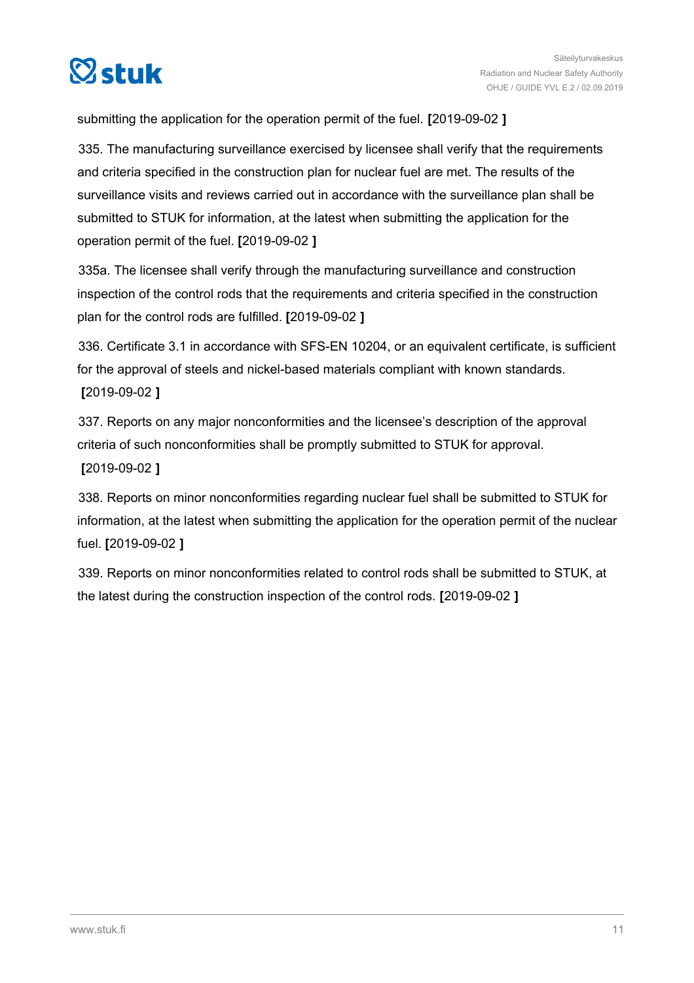

submitting the application for the operation permit of the fuel. **[**2019-09-02 **]**

335. The manufacturing surveillance exercised by licensee shall verify that the requirements and criteria specified in the construction plan for nuclear fuel are met. The results of the surveillance visits and reviews carried out in accordance with the surveillance plan shall be submitted to STUK for information, at the latest when submitting the application for the operation permit of the fuel. **[**2019-09-02 **]**

335a. The licensee shall verify through the manufacturing surveillance and construction inspection of the control rods that the requirements and criteria specified in the construction plan for the control rods are fulfilled. **[**2019-09-02 **]**

336. Certificate 3.1 in accordance with SFS-EN 10204, or an equivalent certificate, is sufficient for the approval of steels and nickel-based materials compliant with known standards. **[**2019-09-02 **]**

337. Reports on any major nonconformities and the licensee's description of the approval criteria of such nonconformities shall be promptly submitted to STUK for approval. **[**2019-09-02 **]**

338. Reports on minor nonconformities regarding nuclear fuel shall be submitted to STUK for information, at the latest when submitting the application for the operation permit of the nuclear fuel. **[**2019-09-02 **]**

339. Reports on minor nonconformities related to control rods shall be submitted to STUK, at the latest during the construction inspection of the control rods. **[**2019-09-02 **]**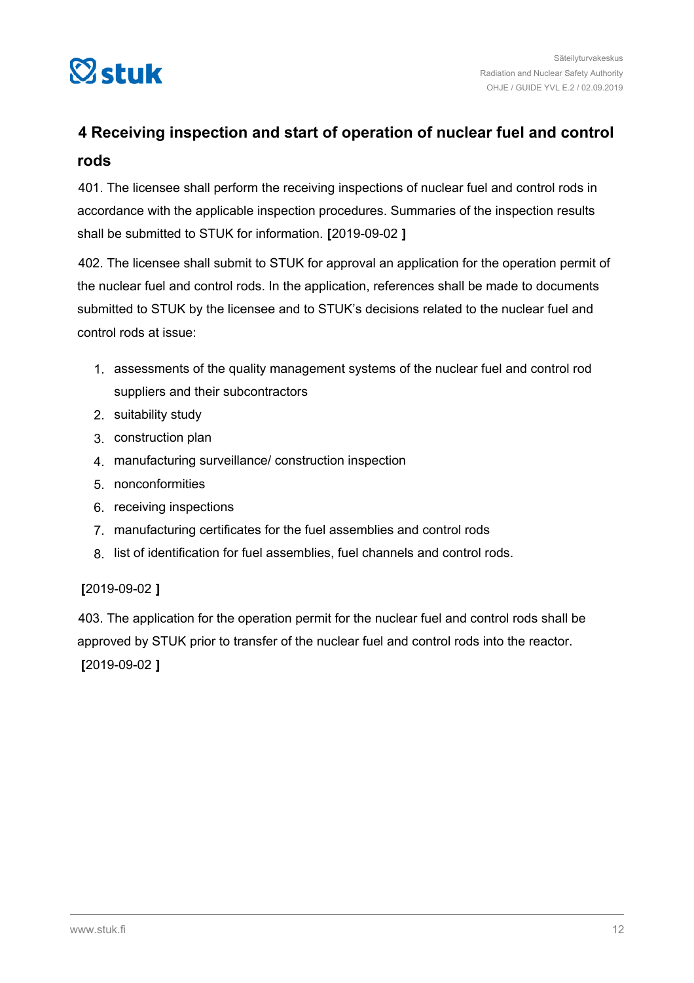<span id="page-11-0"></span>

### **4 Receiving inspection and start of operation of nuclear fuel and control rods**

401. The licensee shall perform the receiving inspections of nuclear fuel and control rods in accordance with the applicable inspection procedures. Summaries of the inspection results shall be submitted to STUK for information. **[**2019-09-02 **]**

402. The licensee shall submit to STUK for approval an application for the operation permit of the nuclear fuel and control rods. In the application, references shall be made to documents submitted to STUK by the licensee and to STUK's decisions related to the nuclear fuel and control rods at issue:

- 1. assessments of the quality management systems of the nuclear fuel and control rod suppliers and their subcontractors
- 2. suitability study
- 3. construction plan
- 4. manufacturing surveillance/ construction inspection
- 5. nonconformities
- 6. receiving inspections
- 7. manufacturing certificates for the fuel assemblies and control rods
- 8. list of identification for fuel assemblies, fuel channels and control rods.

### **[**2019-09-02 **]**

403. The application for the operation permit for the nuclear fuel and control rods shall be approved by STUK prior to transfer of the nuclear fuel and control rods into the reactor. **[**2019-09-02 **]**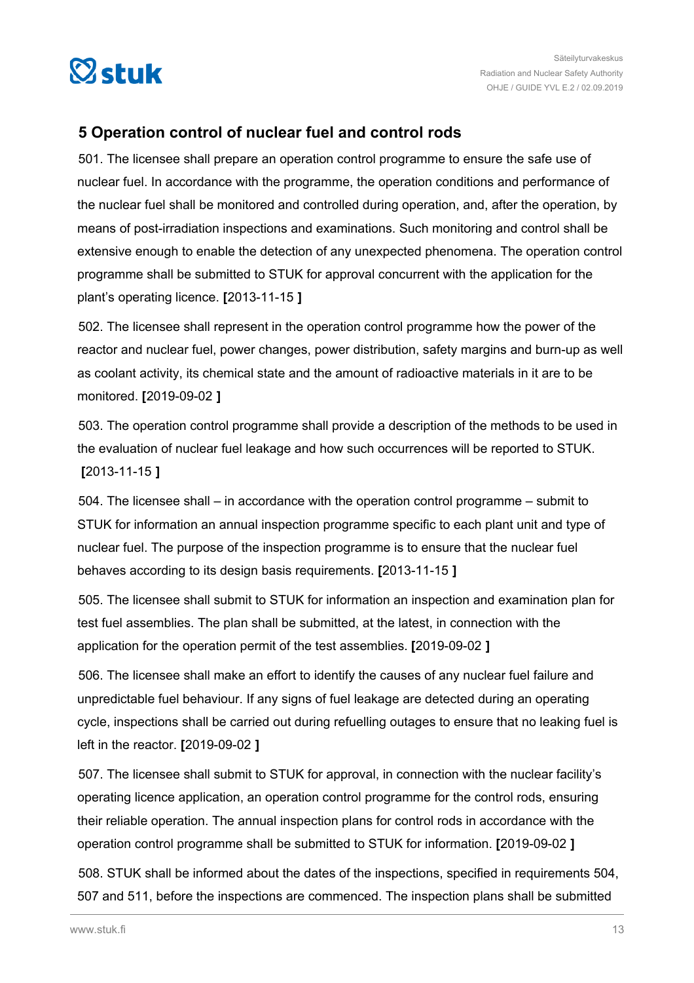<span id="page-12-0"></span>

### **5 Operation control of nuclear fuel and control rods**

501. The licensee shall prepare an operation control programme to ensure the safe use of nuclear fuel. In accordance with the programme, the operation conditions and performance of the nuclear fuel shall be monitored and controlled during operation, and, after the operation, by means of post-irradiation inspections and examinations. Such monitoring and control shall be extensive enough to enable the detection of any unexpected phenomena. The operation control programme shall be submitted to STUK for approval concurrent with the application for the plant's operating licence. **[**2013-11-15 **]**

502. The licensee shall represent in the operation control programme how the power of the reactor and nuclear fuel, power changes, power distribution, safety margins and burn-up as well as coolant activity, its chemical state and the amount of radioactive materials in it are to be monitored. **[**2019-09-02 **]**

503. The operation control programme shall provide a description of the methods to be used in the evaluation of nuclear fuel leakage and how such occurrences will be reported to STUK. **[**2013-11-15 **]**

504. The licensee shall – in accordance with the operation control programme – submit to STUK for information an annual inspection programme specific to each plant unit and type of nuclear fuel. The purpose of the inspection programme is to ensure that the nuclear fuel behaves according to its design basis requirements. **[**2013-11-15 **]**

505. The licensee shall submit to STUK for information an inspection and examination plan for test fuel assemblies. The plan shall be submitted, at the latest, in connection with the application for the operation permit of the test assemblies. **[**2019-09-02 **]**

506. The licensee shall make an effort to identify the causes of any nuclear fuel failure and unpredictable fuel behaviour. If any signs of fuel leakage are detected during an operating cycle, inspections shall be carried out during refuelling outages to ensure that no leaking fuel is left in the reactor. **[**2019-09-02 **]**

507. The licensee shall submit to STUK for approval, in connection with the nuclear facility's operating licence application, an operation control programme for the control rods, ensuring their reliable operation. The annual inspection plans for control rods in accordance with the operation control programme shall be submitted to STUK for information. **[**2019-09-02 **]**

508. STUK shall be informed about the dates of the inspections, specified in requirements 504, 507 and 511, before the inspections are commenced. The inspection plans shall be submitted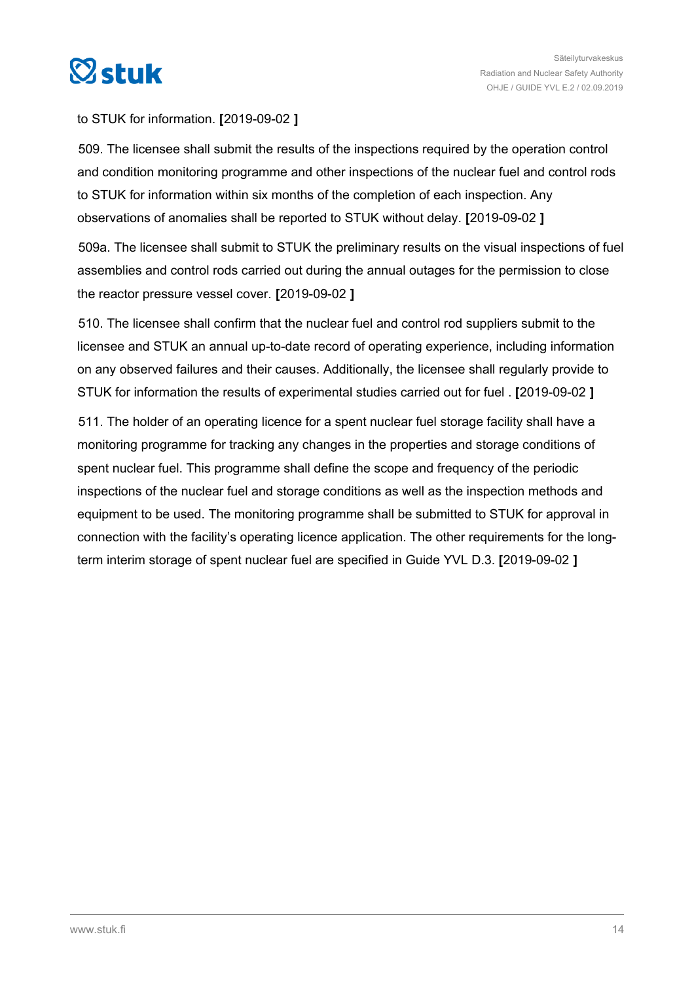

### to STUK for information. **[**2019-09-02 **]**

509. The licensee shall submit the results of the inspections required by the operation control and condition monitoring programme and other inspections of the nuclear fuel and control rods to STUK for information within six months of the completion of each inspection. Any observations of anomalies shall be reported to STUK without delay. **[**2019-09-02 **]**

509a. The licensee shall submit to STUK the preliminary results on the visual inspections of fuel assemblies and control rods carried out during the annual outages for the permission to close the reactor pressure vessel cover. **[**2019-09-02 **]**

510. The licensee shall confirm that the nuclear fuel and control rod suppliers submit to the licensee and STUK an annual up-to-date record of operating experience, including information on any observed failures and their causes. Additionally, the licensee shall regularly provide to STUK for information the results of experimental studies carried out for fuel . **[**2019-09-02 **]**

511. The holder of an operating licence for a spent nuclear fuel storage facility shall have a monitoring programme for tracking any changes in the properties and storage conditions of spent nuclear fuel. This programme shall define the scope and frequency of the periodic inspections of the nuclear fuel and storage conditions as well as the inspection methods and equipment to be used. The monitoring programme shall be submitted to STUK for approval in connection with the facility's operating licence application. The other requirements for the longterm interim storage of spent nuclear fuel are specified in Guide YVL D.3. **[**2019-09-02 **]**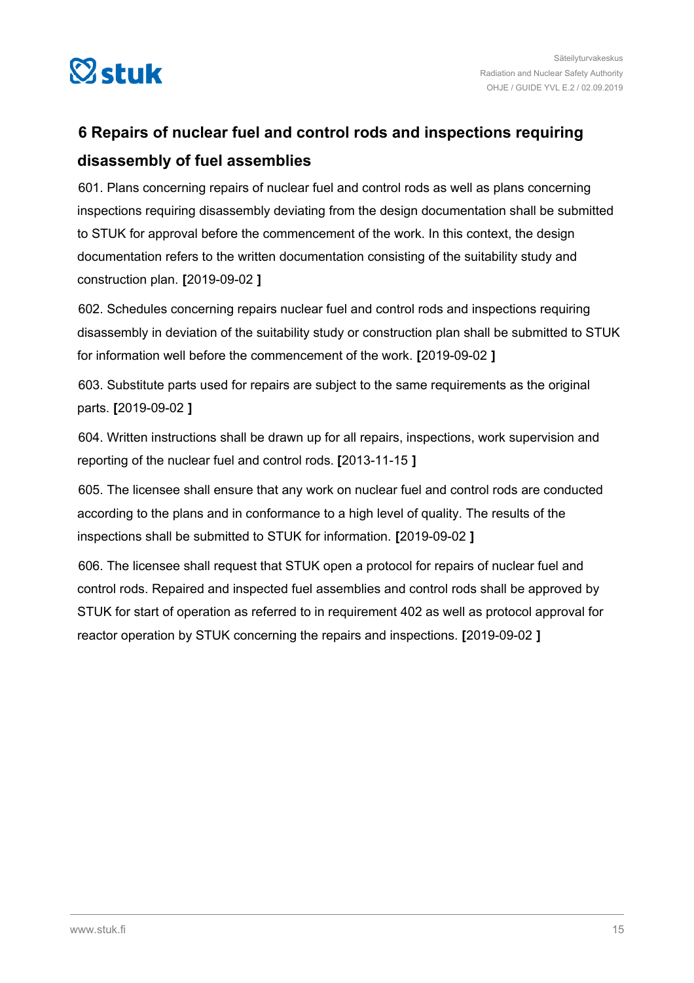<span id="page-14-0"></span>

### **6 Repairs of nuclear fuel and control rods and inspections requiring disassembly of fuel assemblies**

601. Plans concerning repairs of nuclear fuel and control rods as well as plans concerning inspections requiring disassembly deviating from the design documentation shall be submitted to STUK for approval before the commencement of the work. In this context, the design documentation refers to the written documentation consisting of the suitability study and construction plan. **[**2019-09-02 **]**

602. Schedules concerning repairs nuclear fuel and control rods and inspections requiring disassembly in deviation of the suitability study or construction plan shall be submitted to STUK for information well before the commencement of the work. **[**2019-09-02 **]**

603. Substitute parts used for repairs are subject to the same requirements as the original parts. **[**2019-09-02 **]**

604. Written instructions shall be drawn up for all repairs, inspections, work supervision and reporting of the nuclear fuel and control rods. **[**2013-11-15 **]**

605. The licensee shall ensure that any work on nuclear fuel and control rods are conducted according to the plans and in conformance to a high level of quality. The results of the inspections shall be submitted to STUK for information. **[**2019-09-02 **]**

606. The licensee shall request that STUK open a protocol for repairs of nuclear fuel and control rods. Repaired and inspected fuel assemblies and control rods shall be approved by STUK for start of operation as referred to in requirement 402 as well as protocol approval for reactor operation by STUK concerning the repairs and inspections. **[**2019-09-02 **]**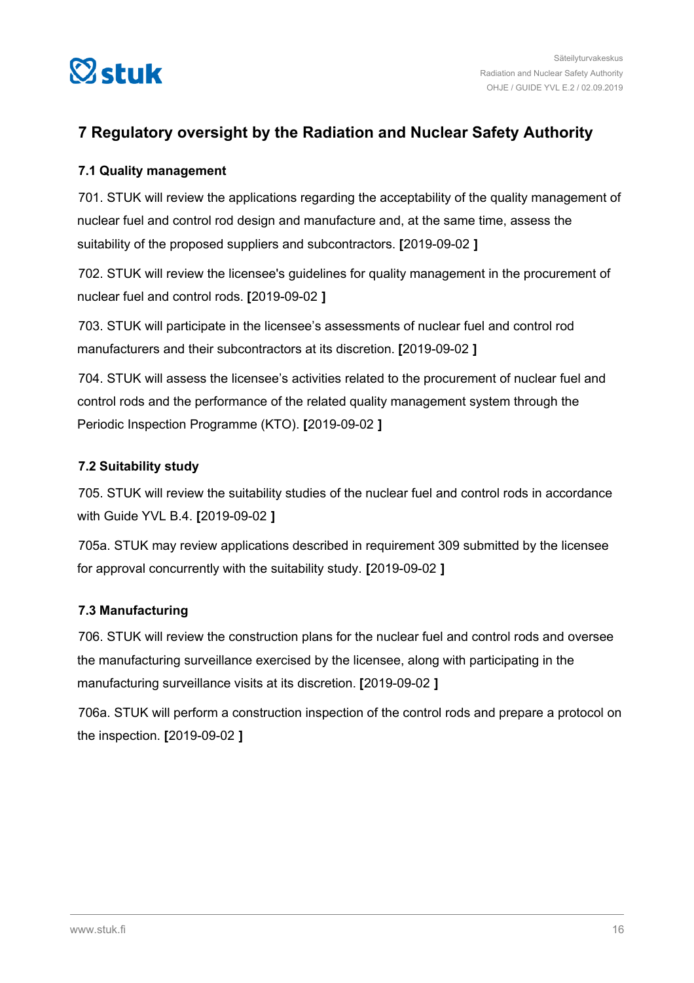<span id="page-15-0"></span>

### **7 Regulatory oversight by the Radiation and Nuclear Safety Authority**

### **7.1 Quality management**

701. STUK will review the applications regarding the acceptability of the quality management of nuclear fuel and control rod design and manufacture and, at the same time, assess the suitability of the proposed suppliers and subcontractors. **[**2019-09-02 **]**

702. STUK will review the licensee's guidelines for quality management in the procurement of nuclear fuel and control rods. **[**2019-09-02 **]**

703. STUK will participate in the licensee's assessments of nuclear fuel and control rod manufacturers and their subcontractors at its discretion. **[**2019-09-02 **]**

704. STUK will assess the licensee's activities related to the procurement of nuclear fuel and control rods and the performance of the related quality management system through the Periodic Inspection Programme (KTO). **[**2019-09-02 **]**

### **7.2 Suitability study**

705. STUK will review the suitability studies of the nuclear fuel and control rods in accordance with Guide YVL B.4. **[**2019-09-02 **]**

705a. STUK may review applications described in requirement 309 submitted by the licensee for approval concurrently with the suitability study. **[**2019-09-02 **]**

### **7.3 Manufacturing**

706. STUK will review the construction plans for the nuclear fuel and control rods and oversee the manufacturing surveillance exercised by the licensee, along with participating in the manufacturing surveillance visits at its discretion. **[**2019-09-02 **]**

706a. STUK will perform a construction inspection of the control rods and prepare a protocol on the inspection. **[**2019-09-02 **]**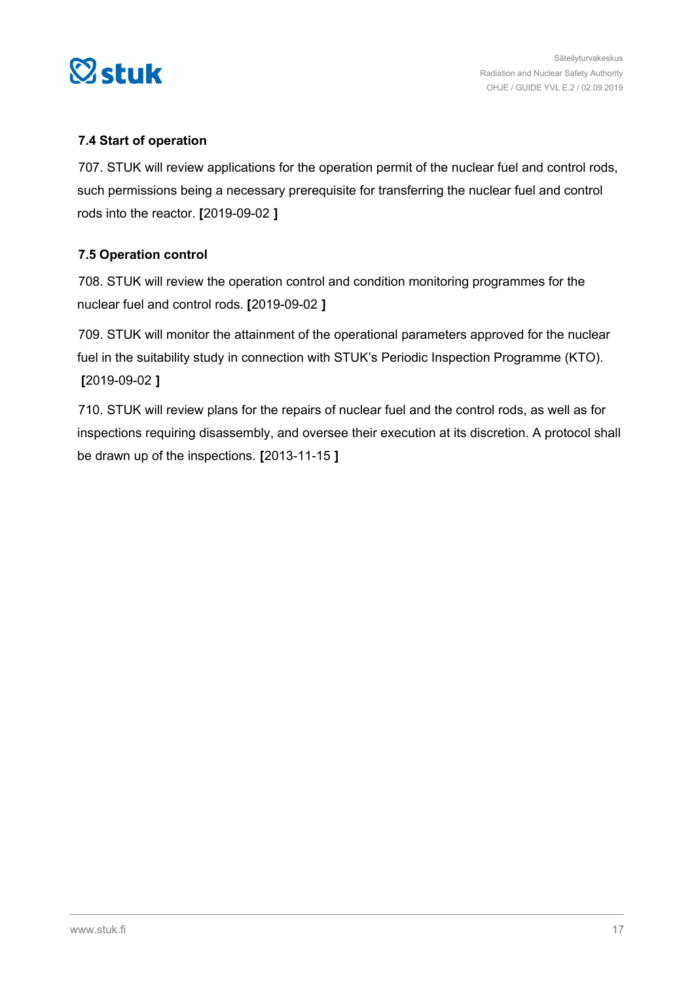<span id="page-16-0"></span>

### **7.4 Start of operation**

707. STUK will review applications for the operation permit of the nuclear fuel and control rods, such permissions being a necessary prerequisite for transferring the nuclear fuel and control rods into the reactor. **[**2019-09-02 **]**

### **7.5 Operation control**

708. STUK will review the operation control and condition monitoring programmes for the nuclear fuel and control rods. **[**2019-09-02 **]**

709. STUK will monitor the attainment of the operational parameters approved for the nuclear fuel in the suitability study in connection with STUK's Periodic Inspection Programme (KTO). **[**2019-09-02 **]**

710. STUK will review plans for the repairs of nuclear fuel and the control rods, as well as for inspections requiring disassembly, and oversee their execution at its discretion. A protocol shall be drawn up of the inspections. **[**2013-11-15 **]**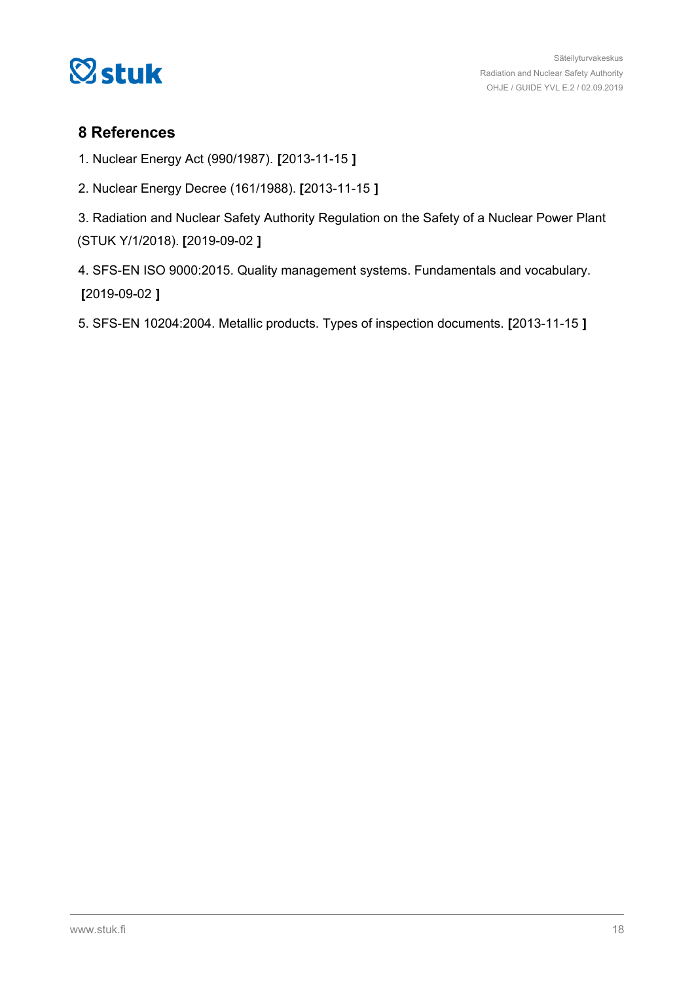<span id="page-17-0"></span>

### **8 References**

- 1. Nuclear Energy Act (990/1987). **[**2013-11-15 **]**
- 2. Nuclear Energy Decree (161/1988). **[**2013-11-15 **]**
- 3. Radiation and Nuclear Safety Authority Regulation on the Safety of a Nuclear Power Plant (STUK Y/1/2018). **[**2019-09-02 **]**
- 4. SFS-EN ISO 9000:2015. Quality management systems. Fundamentals and vocabulary. **[**2019-09-02 **]**
- 5. SFS-EN 10204:2004. Metallic products. Types of inspection documents. **[**2013-11-15 **]**